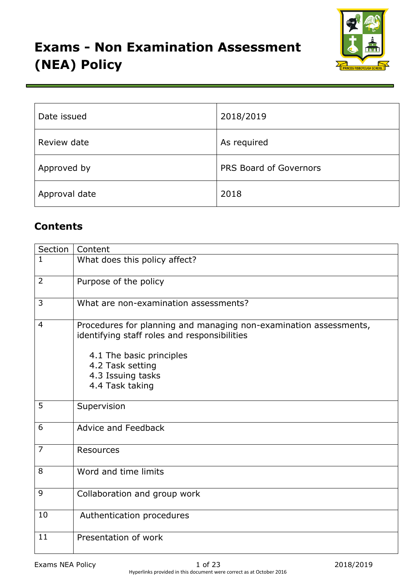

| Date issued   | 2018/2019              |
|---------------|------------------------|
| Review date   | As required            |
| Approved by   | PRS Board of Governors |
| Approval date | 2018                   |

# **Contents**

| Section        | Content                                                                                                                                                                                                   |
|----------------|-----------------------------------------------------------------------------------------------------------------------------------------------------------------------------------------------------------|
| $\mathbf{1}$   | What does this policy affect?                                                                                                                                                                             |
| $\overline{2}$ | Purpose of the policy                                                                                                                                                                                     |
| 3              | What are non-examination assessments?                                                                                                                                                                     |
| $\overline{4}$ | Procedures for planning and managing non-examination assessments,<br>identifying staff roles and responsibilities<br>4.1 The basic principles<br>4.2 Task setting<br>4.3 Issuing tasks<br>4.4 Task taking |
| 5              | Supervision                                                                                                                                                                                               |
| 6              | <b>Advice and Feedback</b>                                                                                                                                                                                |
| $\overline{7}$ | <b>Resources</b>                                                                                                                                                                                          |
| 8              | Word and time limits                                                                                                                                                                                      |
| 9              | Collaboration and group work                                                                                                                                                                              |
| 10             | Authentication procedures                                                                                                                                                                                 |
| 11             | Presentation of work                                                                                                                                                                                      |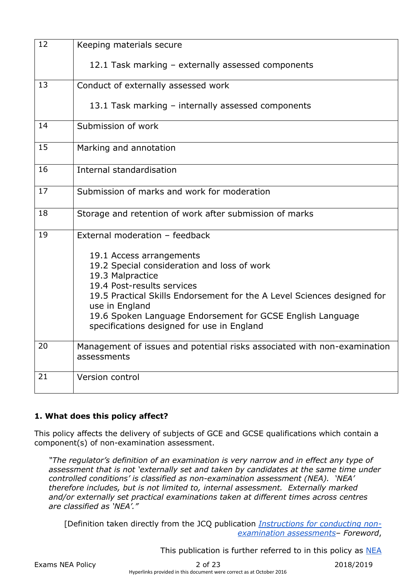| 12 | Keeping materials secure                                                                  |
|----|-------------------------------------------------------------------------------------------|
|    | 12.1 Task marking - externally assessed components                                        |
| 13 | Conduct of externally assessed work                                                       |
|    | 13.1 Task marking - internally assessed components                                        |
| 14 | Submission of work                                                                        |
| 15 | Marking and annotation                                                                    |
| 16 | Internal standardisation                                                                  |
| 17 | Submission of marks and work for moderation                                               |
| 18 | Storage and retention of work after submission of marks                                   |
| 19 | External moderation - feedback                                                            |
|    | 19.1 Access arrangements                                                                  |
|    | 19.2 Special consideration and loss of work                                               |
|    | 19.3 Malpractice<br>19.4 Post-results services                                            |
|    | 19.5 Practical Skills Endorsement for the A Level Sciences designed for<br>use in England |
|    | 19.6 Spoken Language Endorsement for GCSE English Language                                |
|    | specifications designed for use in England                                                |
| 20 | Management of issues and potential risks associated with non-examination<br>assessments   |
| 21 | Version control                                                                           |

### **1. What does this policy affect?**

This policy affects the delivery of subjects of GCE and GCSE qualifications which contain a component(s) of non-examination assessment.

*"The regulator's definition of an examination is very narrow and in effect any type of assessment that is not 'externally set and taken by candidates at the same time under controlled conditions' is classified as non-examination assessment (NEA). 'NEA' therefore includes, but is not limited to, internal assessment. Externally marked and/or externally set practical examinations taken at different times across centres are classified as 'NEA'."*

[Definition taken directly from the JCQ publicatio[n](http://www.jcq.org.uk/exams-office/non-examination-assessments) *[Instructions for conducting non](http://www.jcq.org.uk/exams-office/non-examination-assessments)[examination assessments](http://www.jcq.org.uk/exams-office/non-examination-assessments)*– *Foreword*,

Thi[s](http://www.jcq.org.uk/exams-office/non-examination-assessments) publication is further referred to in this policy as [NEA](http://www.jcq.org.uk/exams-office/non-examination-assessments)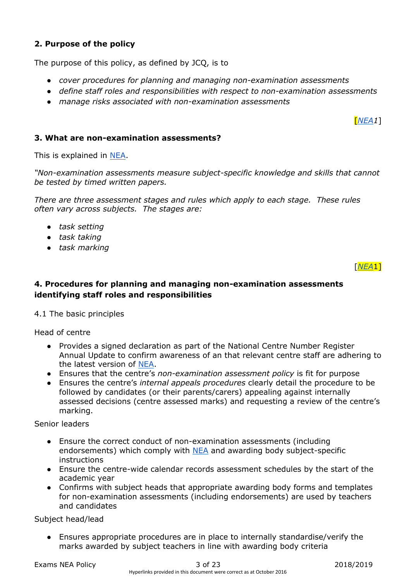## **2. Purpose of the policy**

The purpose of this policy, as defined by JCQ, is to

- *cover procedures for planning and managing non-examination assessments*
- *define staff roles and responsibilities with respect to non-examination assessments*
- *manage risks associated with non-examination assessments*

### **3. What are non-examination assessments?**

This is explained in [NEA.](http://www.jcq.org.uk/exams-office/non-examination-assessments)

*"Non-examination assessments measure subject-specific knowledge and skills that cannot be tested by timed written papers.*

*There are three assessment stages and rules which apply to each stage. These rules often vary across subjects. The stages are:*

- *task setting*
- *task taking*
- *task marking*

[*[NEA](http://www.jcq.org.uk/exams-office/non-examination-assessments)*1]

[*[NEA1](http://www.jcq.org.uk/exams-office/non-examination-assessments)*]

### **4. Procedures for planning and managing non-examination assessments identifying staff roles and responsibilities**

4.1 The basic principles

Head of centre

- Provides a signed declaration as part of the National Centre Number Register Annual Update to confirm awareness of an that relevant centre staff are adhering to the latest version o[f](http://www.jcq.org.uk/exams-office/non-examination-assessments) [NEA.](http://www.jcq.org.uk/exams-office/non-examination-assessments)
- Ensures that the centre's *non-examination assessment policy* is fit for purpose
- Ensures the centre's *internal appeals procedures* clearly detail the procedure to be followed by candidates (or their parents/carers) appealing against internally assessed decisions (centre assessed marks) and requesting a review of the centre's marking.

Senior leaders

- Ensure the correct conduct of non-examination assessments (including endorsements) which comply wit[h](http://www.jcq.org.uk/exams-office/non-examination-assessments) [NEA](http://www.jcq.org.uk/exams-office/non-examination-assessments) and awarding body subject-specific instructions
- Ensure the centre-wide calendar records assessment schedules by the start of the academic year
- Confirms with subject heads that appropriate awarding body forms and templates for non-examination assessments (including endorsements) are used by teachers and candidates

Subject head/lead

Ensures appropriate procedures are in place to internally standardise/verify the marks awarded by subject teachers in line with awarding body criteria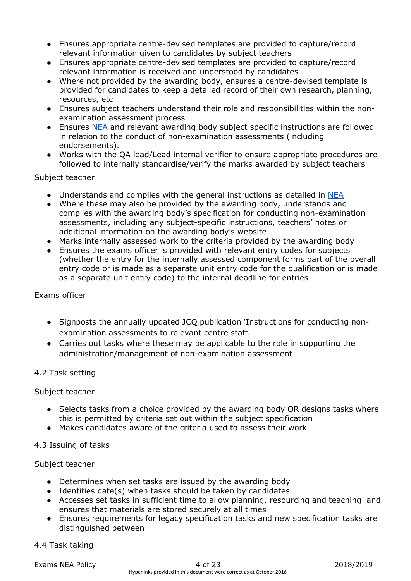- Ensures appropriate centre-devised templates are provided to capture/record relevant information given to candidates by subject teachers
- Ensures appropriate centre-devised templates are provided to capture/record relevant information is received and understood by candidates
- Where not provided by the awarding body, ensures a centre-devised template is provided for candidates to keep a detailed record of their own research, planning, resources, etc
- Ensures subject teachers understand their role and responsibilities within the nonexamination assessment process
- Ensure[s](http://www.jcq.org.uk/exams-office/non-examination-assessments) [NEA](http://www.jcq.org.uk/exams-office/non-examination-assessments) and relevant awarding body subject specific instructions are followed in relation to the conduct of non-examination assessments (including endorsements).
- Works with the QA lead/Lead internal verifier to ensure appropriate procedures are followed to internally standardise/verify the marks awarded by subject teachers

### Subject teacher

- U[n](http://www.jcq.org.uk/exams-office/non-examination-assessments)derstands and complies with the general instructions as detailed in [NEA](http://www.jcq.org.uk/exams-office/non-examination-assessments)
- Where these may also be provided by the awarding body, understands and complies with the awarding body's specification for conducting non-examination assessments, including any subject-specific instructions, teachers' notes or additional information on the awarding body's website
- Marks internally assessed work to the criteria provided by the awarding body
- Ensures the exams officer is provided with relevant entry codes for subjects (whether the entry for the internally assessed component forms part of the overall entry code or is made as a separate unit entry code for the qualification or is made as a separate unit entry code) to the internal deadline for entries

#### Exams officer

- Signposts the annually updated JCQ publication 'Instructions for conducting nonexamination assessments to relevant centre staff.
- Carries out tasks where these may be applicable to the role in supporting the administration/management of non-examination assessment

### 4.2 Task setting

### Subject teacher

- Selects tasks from a choice provided by the awarding body OR designs tasks where this is permitted by criteria set out within the subject specification
- Makes candidates aware of the criteria used to assess their work

### 4.3 Issuing of tasks

### Subject teacher

- Determines when set tasks are issued by the awarding body
- Identifies date(s) when tasks should be taken by candidates
- Accesses set tasks in sufficient time to allow planning, resourcing and teaching and ensures that materials are stored securely at all times
- Ensures requirements for legacy specification tasks and new specification tasks are distinguished between

#### 4.4 Task taking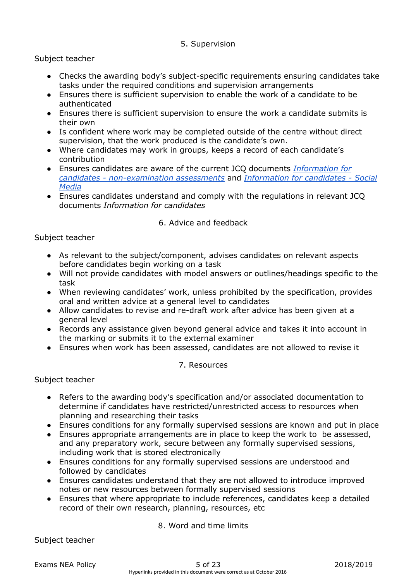### 5. Supervision

### Subject teacher

- Checks the awarding body's subject-specific requirements ensuring candidates take tasks under the required conditions and supervision arrangements
- Ensures there is sufficient supervision to enable the work of a candidate to be authenticated
- Ensures there is sufficient supervision to ensure the work a candidate submits is their own
- Is confident where work may be completed outside of the centre without direct supervision, that the work produced is the candidate's own.
- Where candidates may work in groups, keeps a record of each candidate's contribution
- Ensures candidates are aware of the current JCQ document[s](http://www.jcq.org.uk/exams-office/information-for-candidates-documents) *[Information for](http://www.jcq.org.uk/exams-office/information-for-candidates-documents)  candidates - [non-examination assessments](http://www.jcq.org.uk/exams-office/information-for-candidates-documents)* an[d](http://www.jcq.org.uk/exams-office/information-for-candidates-documents) *[Information for candidates -](http://www.jcq.org.uk/exams-office/information-for-candidates-documents) Social [Media](http://www.jcq.org.uk/exams-office/information-for-candidates-documents)*
- Ensures candidates understand and comply with the regulations in relevant JCQ documents *Information for candidates*

### 6. Advice and feedback

### Subject teacher

- As relevant to the subject/component, advises candidates on relevant aspects before candidates begin working on a task
- Will not provide candidates with model answers or outlines/headings specific to the task
- When reviewing candidates' work, unless prohibited by the specification, provides oral and written advice at a general level to candidates
- Allow candidates to revise and re-draft work after advice has been given at a general level
- Records any assistance given beyond general advice and takes it into account in the marking or submits it to the external examiner
- Ensures when work has been assessed, candidates are not allowed to revise it

### 7. Resources

Subject teacher

- Refers to the awarding body's specification and/or associated documentation to determine if candidates have restricted/unrestricted access to resources when planning and researching their tasks
- Ensures conditions for any formally supervised sessions are known and put in place
- Ensures appropriate arrangements are in place to keep the work to be assessed, and any preparatory work, secure between any formally supervised sessions, including work that is stored electronically
- Ensures conditions for any formally supervised sessions are understood and followed by candidates
- Ensures candidates understand that they are not allowed to introduce improved notes or new resources between formally supervised sessions
- Ensures that where appropriate to include references, candidates keep a detailed record of their own research, planning, resources, etc

### 8. Word and time limits

Subject teacher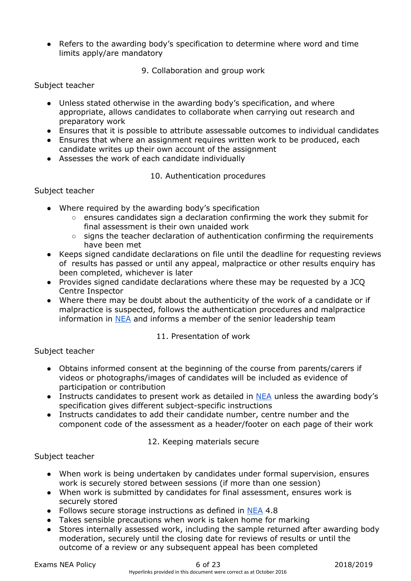● Refers to the awarding body's specification to determine where word and time limits apply/are mandatory

### 9. Collaboration and group work

### Subject teacher

- Unless stated otherwise in the awarding body's specification, and where appropriate, allows candidates to collaborate when carrying out research and preparatory work
- Ensures that it is possible to attribute assessable outcomes to individual candidates
- Ensures that where an assignment requires written work to be produced, each candidate writes up their own account of the assignment
- Assesses the work of each candidate individually

### 10. Authentication procedures

### Subject teacher

- Where required by the awarding body's specification
	- ensures candidates sign a declaration confirming the work they submit for final assessment is their own unaided work
	- $\circ$  signs the teacher declaration of authentication confirming the requirements have been met
- Keeps signed candidate declarations on file until the deadline for requesting reviews of results has passed or until any appeal, malpractice or other results enquiry has been completed, whichever is later
- Provides signed candidate declarations where these may be requested by a JCQ Centre Inspector
- Where there may be doubt about the authenticity of the work of a candidate or if malpractice is suspected, follows the authentication procedures and malpractice information i[n](http://www.jcq.org.uk/exams-office/non-examination-assessments) [NEA](http://www.jcq.org.uk/exams-office/non-examination-assessments) and informs a member of the senior leadership team

### 11. Presentation of work

### Subject teacher

- Obtains informed consent at the beginning of the course from parents/carers if videos or photographs/images of candidates will be included as evidence of participation or contribution
- Instructs candidates to present work as detailed in [NEA](http://www.jcq.org.uk/exams-office/non-examination-assessments) unless the awarding body's specification gives different subject-specific instructions
- Instructs candidates to add their candidate number, centre number and the component code of the assessment as a header/footer on each page of their work

### 12. Keeping materials secure

### Subject teacher

- When work is being undertaken by candidates under formal supervision, ensures work is securely stored between sessions (if more than one session)
- When work is submitted by candidates for final assessment, ensures work is securely stored
- Follows secure storage instructions as defined i[n](http://www.jcq.org.uk/exams-office/non-examination-assessments) [NEA](http://www.jcq.org.uk/exams-office/non-examination-assessments) 4.8
- Takes sensible precautions when work is taken home for marking
- Stores internally assessed work, including the sample returned after awarding body moderation, securely until the closing date for reviews of results or until the outcome of a review or any subsequent appeal has been completed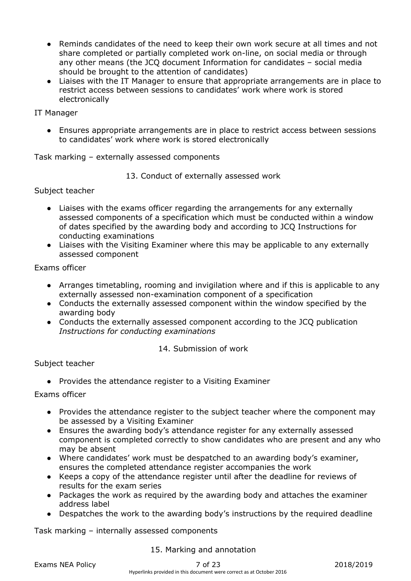- Reminds candidates of the need to keep their own work secure at all times and not share completed or partially completed work on-line, on social media or through any other means (the JCQ document Information for candidates – social media should be brought to the attention of candidates)
- Liaises with the IT Manager to ensure that appropriate arrangements are in place to restrict access between sessions to candidates' work where work is stored electronically

### IT Manager

● Ensures appropriate arrangements are in place to restrict access between sessions to candidates' work where work is stored electronically

Task marking – externally assessed components

13. Conduct of externally assessed work

Subject teacher

- Liaises with the exams officer regarding the arrangements for any externally assessed components of a specification which must be conducted within a window of dates specified by the awarding body and according to JCQ Instructions for conducting examinations
- Liaises with the Visiting Examiner where this may be applicable to any externally assessed component

Exams officer

- Arranges timetabling, rooming and invigilation where and if this is applicable to any externally assessed non-examination component of a specification
- Conducts the externally assessed component within the window specified by the awarding body
- Conducts the externally assessed component according to the JCQ publication *Instructions for conducting examinations*

### 14. Submission of work

#### Subject teacher

● Provides the attendance register to a Visiting Examiner

Exams officer

- Provides the attendance register to the subject teacher where the component may be assessed by a Visiting Examiner
- Ensures the awarding body's attendance register for any externally assessed component is completed correctly to show candidates who are present and any who may be absent
- Where candidates' work must be despatched to an awarding body's examiner, ensures the completed attendance register accompanies the work
- Keeps a copy of the attendance register until after the deadline for reviews of results for the exam series
- Packages the work as required by the awarding body and attaches the examiner address label
- Despatches the work to the awarding body's instructions by the required deadline

Task marking – internally assessed components

#### 15. Marking and annotation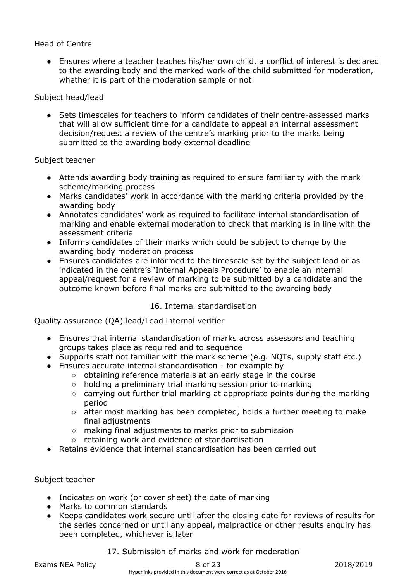### Head of Centre

• Ensures where a teacher teaches his/her own child, a conflict of interest is declared to the awarding body and the marked work of the child submitted for moderation, whether it is part of the moderation sample or not

#### Subject head/lead

Sets timescales for teachers to inform candidates of their centre-assessed marks that will allow sufficient time for a candidate to appeal an internal assessment decision/request a review of the centre's marking prior to the marks being submitted to the awarding body external deadline

#### Subject teacher

- Attends awarding body training as required to ensure familiarity with the mark scheme/marking process
- Marks candidates' work in accordance with the marking criteria provided by the awarding body
- Annotates candidates' work as required to facilitate internal standardisation of marking and enable external moderation to check that marking is in line with the assessment criteria
- Informs candidates of their marks which could be subject to change by the awarding body moderation process
- Ensures candidates are informed to the timescale set by the subject lead or as indicated in the centre's 'Internal Appeals Procedure' to enable an internal appeal/request for a review of marking to be submitted by a candidate and the outcome known before final marks are submitted to the awarding body

### 16. Internal standardisation

Quality assurance (QA) lead/Lead internal verifier

- Ensures that internal standardisation of marks across assessors and teaching groups takes place as required and to sequence
- Supports staff not familiar with the mark scheme (e.g. NQTs, supply staff etc.)
- Ensures accurate internal standardisation for example by
	- obtaining reference materials at an early stage in the course
	- holding a preliminary trial marking session prior to marking
	- carrying out further trial marking at appropriate points during the marking period
	- after most marking has been completed, holds a further meeting to make final adjustments
	- making final adjustments to marks prior to submission
	- retaining work and evidence of standardisation
- Retains evidence that internal standardisation has been carried out

### Subject teacher

- Indicates on work (or cover sheet) the date of marking
- Marks to common standards
- Keeps candidates work secure until after the closing date for reviews of results for the series concerned or until any appeal, malpractice or other results enquiry has been completed, whichever is later

#### 17. Submission of marks and work for moderation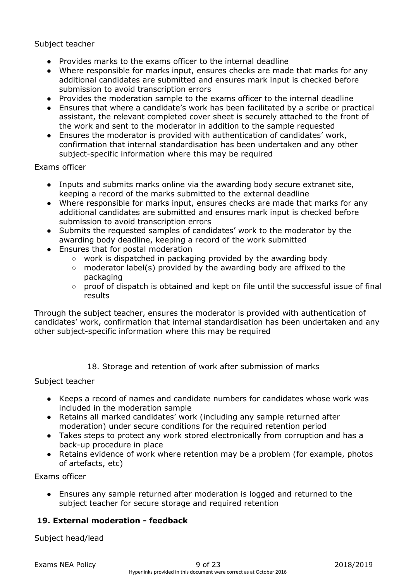Subject teacher

- Provides marks to the exams officer to the internal deadline
- Where responsible for marks input, ensures checks are made that marks for any additional candidates are submitted and ensures mark input is checked before submission to avoid transcription errors
- Provides the moderation sample to the exams officer to the internal deadline
- Ensures that where a candidate's work has been facilitated by a scribe or practical assistant, the relevant completed cover sheet is securely attached to the front of the work and sent to the moderator in addition to the sample requested
- Ensures the moderator is provided with authentication of candidates' work, confirmation that internal standardisation has been undertaken and any other subject-specific information where this may be required

Exams officer

- Inputs and submits marks online via the awarding body secure extranet site, keeping a record of the marks submitted to the external deadline
- Where responsible for marks input, ensures checks are made that marks for any additional candidates are submitted and ensures mark input is checked before submission to avoid transcription errors
- Submits the requested samples of candidates' work to the moderator by the awarding body deadline, keeping a record of the work submitted
- Ensures that for postal moderation
	- work is dispatched in packaging provided by the awarding body
	- moderator label(s) provided by the awarding body are affixed to the packaging
	- proof of dispatch is obtained and kept on file until the successful issue of final results

Through the subject teacher, ensures the moderator is provided with authentication of candidates' work, confirmation that internal standardisation has been undertaken and any other subject-specific information where this may be required

18. Storage and retention of work after submission of marks

Subject teacher

- Keeps a record of names and candidate numbers for candidates whose work was included in the moderation sample
- Retains all marked candidates' work (including any sample returned after moderation) under secure conditions for the required retention period
- Takes steps to protect any work stored electronically from corruption and has a back-up procedure in place
- Retains evidence of work where retention may be a problem (for example, photos of artefacts, etc)

Exams officer

● Ensures any sample returned after moderation is logged and returned to the subject teacher for secure storage and required retention

# **19. External moderation - feedback**

Subject head/lead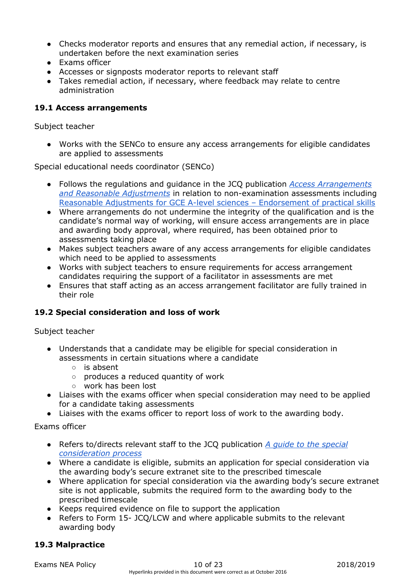- Checks moderator reports and ensures that any remedial action, if necessary, is undertaken before the next examination series
- Exams officer
- Accesses or signposts moderator reports to relevant staff
- Takes remedial action, if necessary, where feedback may relate to centre administration

### **19.1 Access arrangements**

Subject teacher

● Works with the SENCo to ensure any access arrangements for eligible candidates are applied to assessments

Special educational needs coordinator (SENCo)

- Follows the regulations and guidance in the JCQ publication *[Access Arrangements](http://www.jcq.org.uk/exams-office/access-arrangements-and-special-consideration)  [and Reasonable Adjustments](http://www.jcq.org.uk/exams-office/access-arrangements-and-special-consideration)* in relation to non-examination assessments includin[g](https://www.jcq.org.uk/exams-office/access-arrangements-and-special-consideration/regulations-and-guidance) [Reasonable Adjustments for GCE A-level sciences](https://www.jcq.org.uk/exams-office/access-arrangements-and-special-consideration/regulations-and-guidance) – Endorsement of practical skills
- Where arrangements do not undermine the integrity of the qualification and is the candidate's normal way of working, will ensure access arrangements are in place and awarding body approval, where required, has been obtained prior to assessments taking place
- Makes subject teachers aware of any access arrangements for eligible candidates which need to be applied to assessments
- Works with subject teachers to ensure requirements for access arrangement candidates requiring the support of a facilitator in assessments are met
- Ensures that staff acting as an access arrangement facilitator are fully trained in their role

### **19.2 Special consideration and loss of work**

Subject teacher

- Understands that a candidate may be eligible for special consideration in assessments in certain situations where a candidate
	- is absent
	- produces a reduced quantity of work
	- work has been lost
- Liaises with the exams officer when special consideration may need to be applied for a candidate taking assessments
- Liaises with the exams officer to report loss of work to the awarding body.

Exams officer

- Refers to/directs relevant staff to the JCQ publicatio[n](http://www.jcq.org.uk/exams-office/access-arrangements-and-special-consideration) *[A guide to the special](http://www.jcq.org.uk/exams-office/access-arrangements-and-special-consideration)  [consideration process](http://www.jcq.org.uk/exams-office/access-arrangements-and-special-consideration)*
- Where a candidate is eligible, submits an application for special consideration via the awarding body's secure extranet site to the prescribed timescale
- Where application for special consideration via the awarding body's secure extranet site is not applicable, submits the required form to the awarding body to the prescribed timescale
- Keeps required evidence on file to support the application
- Refers to Form 15- JCQ/LCW and where applicable submits to the relevant awarding body

### **19.3 Malpractice**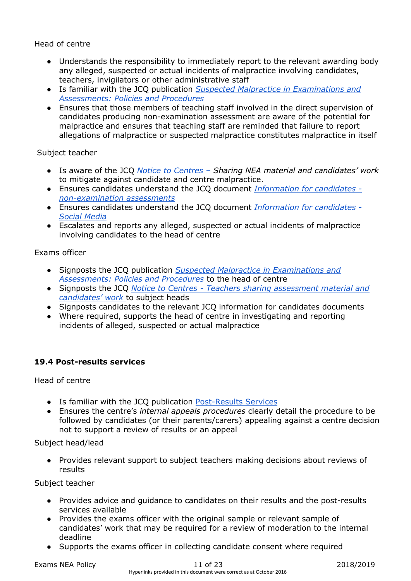Head of centre

- Understands the responsibility to immediately report to the relevant awarding body any alleged, suspected or actual incidents of malpractice involving candidates, teachers, invigilators or other administrative staff
- Is familiar with the JCQ publication *[Suspected Malpractice in Examinations and](http://www.jcq.org.uk/exams-office/malpractice)  [Assessments: Policies and Procedures](http://www.jcq.org.uk/exams-office/malpractice)*
- Ensures that those members of teaching staff involved in the direct supervision of candidates producing non-examination assessment are aware of the potential for malpractice and ensures that teaching staff are reminded that failure to report allegations of malpractice or suspected malpractice constitutes malpractice in itself

Subject teacher

- Is aware of the JC[Q](http://www.jcq.org.uk/exams-office/non-examination-assessments) *[Notice to Centres](http://www.jcq.org.uk/exams-office/non-examination-assessments) – Sharing NEA material and candidates' work*  to mitigate against candidate and centre malpractice.
- Ensures candidates understand the JCQ documen[t](http://www.jcq.org.uk/exams-office/information-for-candidates-documents) *[Information for candidates](http://www.jcq.org.uk/exams-office/information-for-candidates-documents)  [non-examination assessments](http://www.jcq.org.uk/exams-office/information-for-candidates-documents)*
- Ensures candidates understand the JCQ documen[t](http://www.jcq.org.uk/exams-office/information-for-candidates-documents) *[Information for candidates -](http://www.jcq.org.uk/exams-office/information-for-candidates-documents) [Social Media](http://www.jcq.org.uk/exams-office/information-for-candidates-documents)*
- Escalates and reports any alleged, suspected or actual incidents of malpractice involving candidates to the head of centre

Exams officer

- Signposts the JCQ publicatio[n](http://www.jcq.org.uk/exams-office/malpractice) *[Suspected Malpractice in Examinations and](http://www.jcq.org.uk/exams-office/malpractice)  [Assessments: Policies and Procedures](http://www.jcq.org.uk/exams-office/malpractice)* to the head of centre
- Signposts the JC[Q](http://www.jcq.org.uk/exams-office/non-examination-assessments) *Notice to Centres - [Teachers sharing assessment material and](http://www.jcq.org.uk/exams-office/non-examination-assessments)  [candidates' work](http://www.jcq.org.uk/exams-office/non-examination-assessments)* to subject heads
- Signposts candidates to the relevant JCQ information for candidates documents
- Where required, supports the head of centre in investigating and reporting incidents of alleged, suspected or actual malpractice

# **19.4 Post-results services**

Head of centre

- Is familiar with the JCQ publication [Post-Results Services](https://www.jcq.org.uk/exams-office/post-results-services)
- Ensures the centre's *internal appeals procedures* clearly detail the procedure to be followed by candidates (or their parents/carers) appealing against a centre decision not to support a review of results or an appeal

Subject head/lead

● Provides relevant support to subject teachers making decisions about reviews of results

Subject teacher

- Provides advice and guidance to candidates on their results and the post-results services available
- Provides the exams officer with the original sample or relevant sample of candidates' work that may be required for a review of moderation to the internal deadline
- Supports the exams officer in collecting candidate consent where required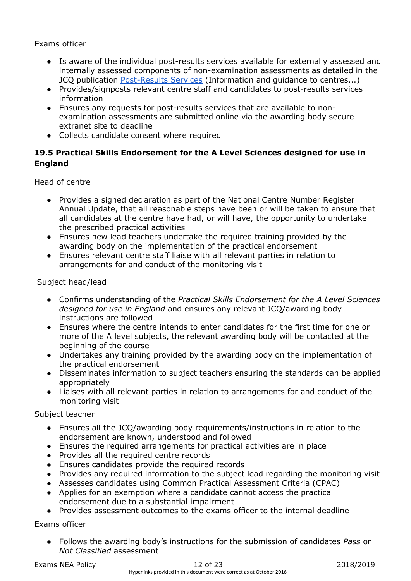### Exams officer

- Is aware of the individual post-results services available for externally assessed and internally assessed components of non-examination assessments as detailed in the JCQ publication [Post-Results Services](https://www.jcq.org.uk/exams-office/post-results-services) (Information and guidance to centres...)
- Provides/signposts relevant centre staff and candidates to post-results services information
- Ensures any requests for post-results services that are available to nonexamination assessments are submitted online via the awarding body secure extranet site to deadline
- Collects candidate consent where required

## **19.5 Practical Skills Endorsement for the A Level Sciences designed for use in England**

Head of centre

- Provides a signed declaration as part of the National Centre Number Register Annual Update, that all reasonable steps have been or will be taken to ensure that all candidates at the centre have had, or will have, the opportunity to undertake the prescribed practical activities
- Ensures new lead teachers undertake the required training provided by the awarding body on the implementation of the practical endorsement
- Ensures relevant centre staff liaise with all relevant parties in relation to arrangements for and conduct of the monitoring visit

Subject head/lead

- Confirms understanding of the *Practical Skills Endorsement for the A Level Sciences designed for use in England* and ensures any relevant JCQ/awarding body instructions are followed
- Ensures where the centre intends to enter candidates for the first time for one or more of the A level subjects, the relevant awarding body will be contacted at the beginning of the course
- Undertakes any training provided by the awarding body on the implementation of the practical endorsement
- Disseminates information to subject teachers ensuring the standards can be applied appropriately
- Liaises with all relevant parties in relation to arrangements for and conduct of the monitoring visit

Subject teacher

- Ensures all the JCQ/awarding body requirements/instructions in relation to the endorsement are known, understood and followed
- Ensures the required arrangements for practical activities are in place
- Provides all the required centre records
- Ensures candidates provide the required records
- Provides any required information to the subject lead regarding the monitoring visit
- Assesses candidates using Common Practical Assessment Criteria (CPAC)
- Applies for an exemption where a candidate cannot access the practical endorsement due to a substantial impairment
- Provides assessment outcomes to the exams officer to the internal deadline

Exams officer

● Follows the awarding body's instructions for the submission of candidates *Pass* or *Not Classified* assessment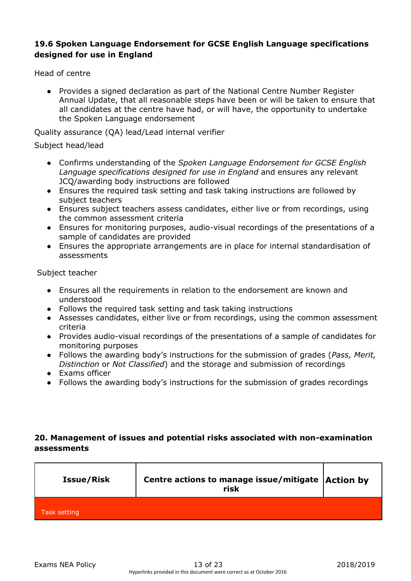### **19.6 Spoken Language Endorsement for GCSE English Language specifications designed for use in England**

Head of centre

● Provides a signed declaration as part of the National Centre Number Register Annual Update, that all reasonable steps have been or will be taken to ensure that all candidates at the centre have had, or will have, the opportunity to undertake the Spoken Language endorsement

Quality assurance (QA) lead/Lead internal verifier

### Subject head/lead

- Confirms understanding of the *Spoken Language Endorsement for GCSE English Language specifications designed for use in England* and ensures any relevant JCQ/awarding body instructions are followed
- Ensures the required task setting and task taking instructions are followed by subject teachers
- Ensures subject teachers assess candidates, either live or from recordings, using the common assessment criteria
- Ensures for monitoring purposes, audio-visual recordings of the presentations of a sample of candidates are provided
- Ensures the appropriate arrangements are in place for internal standardisation of assessments

Subject teacher

- Ensures all the requirements in relation to the endorsement are known and understood
- Follows the required task setting and task taking instructions
- Assesses candidates, either live or from recordings, using the common assessment criteria
- Provides audio-visual recordings of the presentations of a sample of candidates for monitoring purposes
- Follows the awarding body's instructions for the submission of grades (*Pass, Merit, Distinction* or *Not Classified*) and the storage and submission of recordings
- Exams officer
- Follows the awarding body's instructions for the submission of grades recordings

# **20. Management of issues and potential risks associated with non-examination assessments**

| <b>Issue/Risk</b> | Centre actions to manage issue/mitigate Action by<br>risk |  |
|-------------------|-----------------------------------------------------------|--|
| Task setting      |                                                           |  |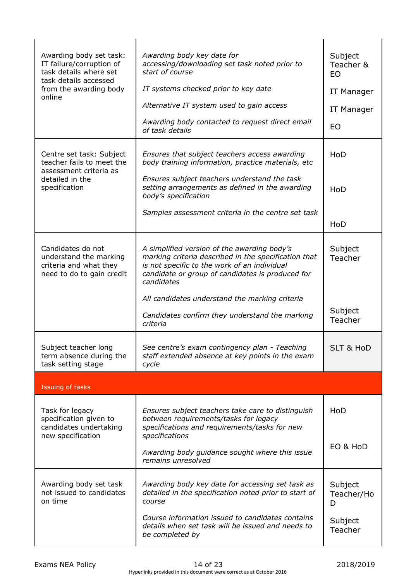| Awarding body set task:<br>IT failure/corruption of<br>task details where set<br>task details accessed | Awarding body key date for<br>accessing/downloading set task noted prior to<br>start of course                                                                                                                        | Subject<br>Teacher &<br><b>EO</b> |
|--------------------------------------------------------------------------------------------------------|-----------------------------------------------------------------------------------------------------------------------------------------------------------------------------------------------------------------------|-----------------------------------|
| from the awarding body<br>online                                                                       | IT systems checked prior to key date                                                                                                                                                                                  | IT Manager                        |
|                                                                                                        | Alternative IT system used to gain access                                                                                                                                                                             | IT Manager                        |
|                                                                                                        | Awarding body contacted to request direct email<br>of task details                                                                                                                                                    | EO                                |
| Centre set task: Subject<br>teacher fails to meet the<br>assessment criteria as                        | Ensures that subject teachers access awarding<br>body training information, practice materials, etc                                                                                                                   | HoD                               |
| detailed in the<br>specification                                                                       | Ensures subject teachers understand the task<br>setting arrangements as defined in the awarding<br>body's specification                                                                                               | HoD                               |
|                                                                                                        | Samples assessment criteria in the centre set task                                                                                                                                                                    | HoD                               |
| Candidates do not<br>understand the marking<br>criteria and what they<br>need to do to gain credit     | A simplified version of the awarding body's<br>marking criteria described in the specification that<br>is not specific to the work of an individual<br>candidate or group of candidates is produced for<br>candidates | Subject<br>Teacher                |
|                                                                                                        | All candidates understand the marking criteria<br>Candidates confirm they understand the marking<br>criteria                                                                                                          | Subject<br>Teacher                |
| Subject teacher long<br>term absence during the<br>task setting stage                                  | See centre's exam contingency plan - Teaching<br>staff extended absence at key points in the exam<br>cycle                                                                                                            | <b>SLT &amp; HoD</b>              |
| Issuing of tasks                                                                                       |                                                                                                                                                                                                                       |                                   |
| Task for legacy<br>specification given to<br>candidates undertaking<br>new specification               | Ensures subject teachers take care to distinguish<br>between requirements/tasks for legacy<br>specifications and requirements/tasks for new<br>specifications                                                         | HoD                               |
|                                                                                                        | Awarding body guidance sought where this issue<br>remains unresolved                                                                                                                                                  | EO & HoD                          |
| Awarding body set task<br>not issued to candidates<br>on time                                          | Awarding body key date for accessing set task as<br>detailed in the specification noted prior to start of<br>course                                                                                                   | Subject<br>Teacher/Ho<br>D        |
|                                                                                                        | Course information issued to candidates contains<br>details when set task will be issued and needs to<br>be completed by                                                                                              | Subject<br>Teacher                |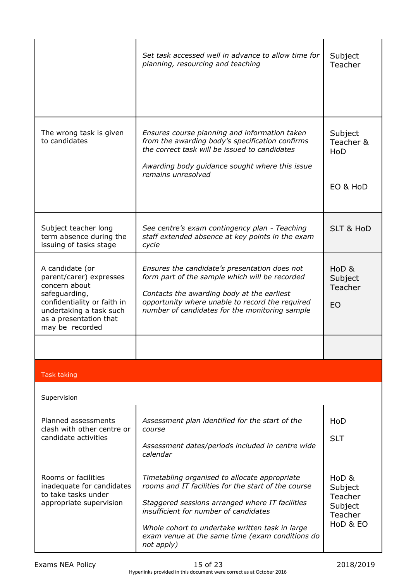|                                                                                                                                                                                     | Set task accessed well in advance to allow time for<br>planning, resourcing and teaching                                                                                                                                                                                                                             | Subject<br>Teacher                                            |
|-------------------------------------------------------------------------------------------------------------------------------------------------------------------------------------|----------------------------------------------------------------------------------------------------------------------------------------------------------------------------------------------------------------------------------------------------------------------------------------------------------------------|---------------------------------------------------------------|
| The wrong task is given<br>to candidates                                                                                                                                            | Ensures course planning and information taken<br>from the awarding body's specification confirms<br>the correct task will be issued to candidates<br>Awarding body guidance sought where this issue<br>remains unresolved                                                                                            | Subject<br>Teacher &<br>HoD<br>EO & HoD                       |
| Subject teacher long<br>term absence during the<br>issuing of tasks stage                                                                                                           | See centre's exam contingency plan - Teaching<br>staff extended absence at key points in the exam<br>cycle                                                                                                                                                                                                           | <b>SLT &amp; HoD</b>                                          |
| A candidate (or<br>parent/carer) expresses<br>concern about<br>safeguarding,<br>confidentiality or faith in<br>undertaking a task such<br>as a presentation that<br>may be recorded | Ensures the candidate's presentation does not<br>form part of the sample which will be recorded<br>Contacts the awarding body at the earliest<br>opportunity where unable to record the required<br>number of candidates for the monitoring sample                                                                   | HoD <sub>&amp;</sub><br>Subject<br>Teacher<br>EO              |
|                                                                                                                                                                                     |                                                                                                                                                                                                                                                                                                                      |                                                               |
| <b>Task taking</b>                                                                                                                                                                  |                                                                                                                                                                                                                                                                                                                      |                                                               |
| Supervision                                                                                                                                                                         |                                                                                                                                                                                                                                                                                                                      |                                                               |
| Planned assessments<br>clash with other centre or<br>candidate activities                                                                                                           | Assessment plan identified for the start of the<br>course<br>Assessment dates/periods included in centre wide<br>calendar                                                                                                                                                                                            | HoD<br><b>SLT</b>                                             |
| Rooms or facilities<br>inadequate for candidates<br>to take tasks under<br>appropriate supervision                                                                                  | Timetabling organised to allocate appropriate<br>rooms and IT facilities for the start of the course<br>Staggered sessions arranged where IT facilities<br>insufficient for number of candidates<br>Whole cohort to undertake written task in large<br>exam venue at the same time (exam conditions do<br>not apply) | HoD &<br>Subject<br>Teacher<br>Subject<br>Teacher<br>HoD & EO |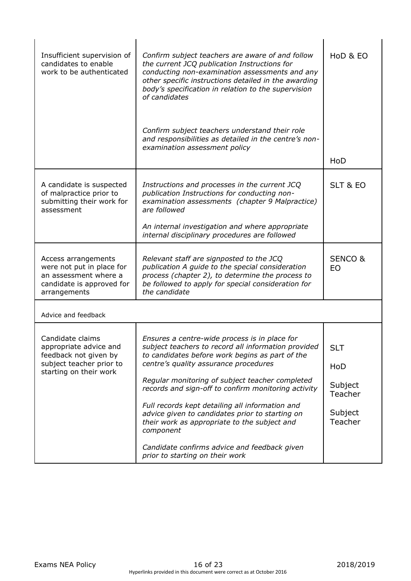| Insufficient supervision of<br>candidates to enable<br>work to be authenticated                                           | Confirm subject teachers are aware of and follow<br>the current JCQ publication Instructions for<br>conducting non-examination assessments and any<br>other specific instructions detailed in the awarding<br>body's specification in relation to the supervision<br>of candidates                                                                                                                                                                                                                                                                               | HoD & EO                                                      |
|---------------------------------------------------------------------------------------------------------------------------|------------------------------------------------------------------------------------------------------------------------------------------------------------------------------------------------------------------------------------------------------------------------------------------------------------------------------------------------------------------------------------------------------------------------------------------------------------------------------------------------------------------------------------------------------------------|---------------------------------------------------------------|
|                                                                                                                           | Confirm subject teachers understand their role<br>and responsibilities as detailed in the centre's non-<br>examination assessment policy                                                                                                                                                                                                                                                                                                                                                                                                                         | HoD                                                           |
|                                                                                                                           |                                                                                                                                                                                                                                                                                                                                                                                                                                                                                                                                                                  |                                                               |
| A candidate is suspected<br>of malpractice prior to<br>submitting their work for<br>assessment                            | Instructions and processes in the current JCQ<br>publication Instructions for conducting non-<br>examination assessments (chapter 9 Malpractice)<br>are followed                                                                                                                                                                                                                                                                                                                                                                                                 | SLT & EO                                                      |
|                                                                                                                           | An internal investigation and where appropriate<br>internal disciplinary procedures are followed                                                                                                                                                                                                                                                                                                                                                                                                                                                                 |                                                               |
| Access arrangements<br>were not put in place for<br>an assessment where a<br>candidate is approved for<br>arrangements    | Relevant staff are signposted to the JCQ<br>publication A guide to the special consideration<br>process (chapter 2), to determine the process to<br>be followed to apply for special consideration for<br>the candidate                                                                                                                                                                                                                                                                                                                                          | <b>SENCO &amp;</b><br>EO                                      |
| Advice and feedback                                                                                                       |                                                                                                                                                                                                                                                                                                                                                                                                                                                                                                                                                                  |                                                               |
| Candidate claims<br>appropriate advice and<br>feedback not given by<br>subject teacher prior to<br>starting on their work | Ensures a centre-wide process is in place for<br>subject teachers to record all information provided<br>to candidates before work begins as part of the<br>centre's quality assurance procedures<br>Regular monitoring of subject teacher completed<br>records and sign-off to confirm monitoring activity<br>Full records kept detailing all information and<br>advice given to candidates prior to starting on<br>their work as appropriate to the subject and<br>component<br>Candidate confirms advice and feedback given<br>prior to starting on their work | <b>SLT</b><br>HoD<br>Subject<br>Teacher<br>Subject<br>Teacher |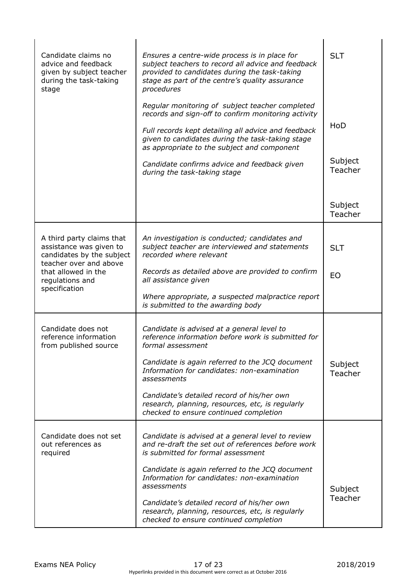| Candidate claims no<br>advice and feedback<br>given by subject teacher<br>during the task-taking<br>stage | Ensures a centre-wide process is in place for<br>subject teachers to record all advice and feedback<br>provided to candidates during the task-taking<br>stage as part of the centre's quality assurance<br>procedures<br>Regular monitoring of subject teacher completed<br>records and sign-off to confirm monitoring activity<br>Full records kept detailing all advice and feedback<br>given to candidates during the task-taking stage<br>as appropriate to the subject and component | <b>SLT</b><br>HoD  |
|-----------------------------------------------------------------------------------------------------------|-------------------------------------------------------------------------------------------------------------------------------------------------------------------------------------------------------------------------------------------------------------------------------------------------------------------------------------------------------------------------------------------------------------------------------------------------------------------------------------------|--------------------|
|                                                                                                           | Candidate confirms advice and feedback given<br>during the task-taking stage                                                                                                                                                                                                                                                                                                                                                                                                              | Subject<br>Teacher |
|                                                                                                           |                                                                                                                                                                                                                                                                                                                                                                                                                                                                                           | Subject<br>Teacher |
| A third party claims that<br>assistance was given to<br>candidates by the subject                         | An investigation is conducted; candidates and<br>subject teacher are interviewed and statements<br>recorded where relevant                                                                                                                                                                                                                                                                                                                                                                | <b>SLT</b>         |
| teacher over and above<br>that allowed in the<br>regulations and<br>specification                         | Records as detailed above are provided to confirm<br>all assistance given                                                                                                                                                                                                                                                                                                                                                                                                                 | <b>EO</b>          |
|                                                                                                           | Where appropriate, a suspected malpractice report<br>is submitted to the awarding body                                                                                                                                                                                                                                                                                                                                                                                                    |                    |
| Candidate does not<br>reference information<br>from published source                                      | Candidate is advised at a general level to<br>reference information before work is submitted for<br>formal assessment                                                                                                                                                                                                                                                                                                                                                                     |                    |
|                                                                                                           | Candidate is again referred to the JCQ document<br>Information for candidates: non-examination<br>assessments                                                                                                                                                                                                                                                                                                                                                                             | Subject<br>Teacher |
|                                                                                                           | Candidate's detailed record of his/her own<br>research, planning, resources, etc, is regularly<br>checked to ensure continued completion                                                                                                                                                                                                                                                                                                                                                  |                    |
| Candidate does not set<br>out references as<br>required                                                   | Candidate is advised at a general level to review<br>and re-draft the set out of references before work<br>is submitted for formal assessment                                                                                                                                                                                                                                                                                                                                             |                    |
|                                                                                                           | Candidate is again referred to the JCQ document<br>Information for candidates: non-examination<br>assessments                                                                                                                                                                                                                                                                                                                                                                             | Subject            |
|                                                                                                           | Candidate's detailed record of his/her own<br>research, planning, resources, etc, is regularly<br>checked to ensure continued completion                                                                                                                                                                                                                                                                                                                                                  | Teacher            |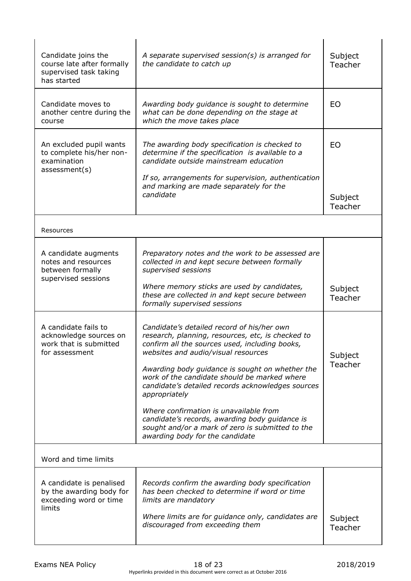| Candidate joins the<br>course late after formally<br>supervised task taking<br>has started | A separate supervised session(s) is arranged for<br>the candidate to catch up                                                                                                                                                                                                                                                                    | Subject<br>Teacher   |
|--------------------------------------------------------------------------------------------|--------------------------------------------------------------------------------------------------------------------------------------------------------------------------------------------------------------------------------------------------------------------------------------------------------------------------------------------------|----------------------|
| Candidate moves to<br>another centre during the<br>course                                  | Awarding body guidance is sought to determine<br>what can be done depending on the stage at<br>which the move takes place                                                                                                                                                                                                                        | <b>EO</b>            |
| An excluded pupil wants<br>to complete his/her non-<br>examination<br>assessment(s)        | The awarding body specification is checked to<br>determine if the specification is available to a<br>candidate outside mainstream education<br>If so, arrangements for supervision, authentication<br>and marking are made separately for the<br>candidate                                                                                       | <b>EO</b><br>Subject |
|                                                                                            |                                                                                                                                                                                                                                                                                                                                                  | Teacher              |
| Resources                                                                                  |                                                                                                                                                                                                                                                                                                                                                  |                      |
| A candidate augments<br>notes and resources<br>between formally<br>supervised sessions     | Preparatory notes and the work to be assessed are<br>collected in and kept secure between formally<br>supervised sessions                                                                                                                                                                                                                        |                      |
|                                                                                            | Where memory sticks are used by candidates,<br>these are collected in and kept secure between<br>formally supervised sessions                                                                                                                                                                                                                    | Subject<br>Teacher   |
| A candidate fails to<br>acknowledge sources on<br>work that is submitted<br>for assessment | Candidate's detailed record of his/her own<br>research, planning, resources, etc, is checked to<br>confirm all the sources used, including books,<br>websites and audio/visual resources<br>Awarding body guidance is sought on whether the<br>work of the candidate should be marked where<br>candidate's detailed records acknowledges sources | Subject<br>Teacher   |
|                                                                                            | appropriately<br>Where confirmation is unavailable from<br>candidate's records, awarding body guidance is<br>sought and/or a mark of zero is submitted to the<br>awarding body for the candidate                                                                                                                                                 |                      |
| Word and time limits                                                                       |                                                                                                                                                                                                                                                                                                                                                  |                      |
| A candidate is penalised<br>by the awarding body for<br>exceeding word or time<br>limits   | Records confirm the awarding body specification<br>has been checked to determine if word or time<br>limits are mandatory<br>Where limits are for guidance only, candidates are<br>discouraged from exceeding them                                                                                                                                | Subject<br>Teacher   |
|                                                                                            |                                                                                                                                                                                                                                                                                                                                                  |                      |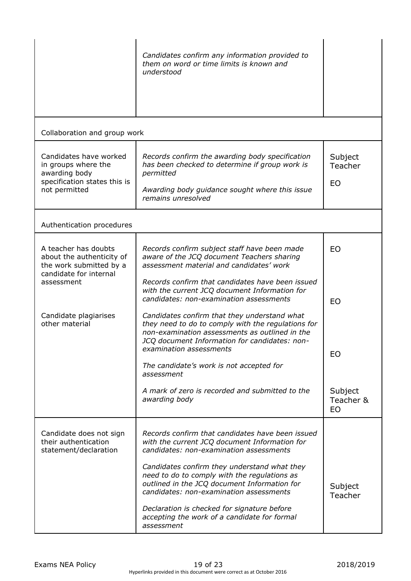|                                                                                                                                                                 | Candidates confirm any information provided to<br>them on word or time limits is known and<br>understood                                                                                                                                                                                                                                                                                                                                                                                                                                                                                                                                                 |                                                     |
|-----------------------------------------------------------------------------------------------------------------------------------------------------------------|----------------------------------------------------------------------------------------------------------------------------------------------------------------------------------------------------------------------------------------------------------------------------------------------------------------------------------------------------------------------------------------------------------------------------------------------------------------------------------------------------------------------------------------------------------------------------------------------------------------------------------------------------------|-----------------------------------------------------|
| Collaboration and group work                                                                                                                                    |                                                                                                                                                                                                                                                                                                                                                                                                                                                                                                                                                                                                                                                          |                                                     |
| Candidates have worked<br>in groups where the<br>awarding body<br>specification states this is<br>not permitted                                                 | Records confirm the awarding body specification<br>has been checked to determine if group work is<br>permitted<br>Awarding body guidance sought where this issue<br>remains unresolved                                                                                                                                                                                                                                                                                                                                                                                                                                                                   | Subject<br>Teacher<br>EO                            |
| Authentication procedures                                                                                                                                       |                                                                                                                                                                                                                                                                                                                                                                                                                                                                                                                                                                                                                                                          |                                                     |
| A teacher has doubts<br>about the authenticity of<br>the work submitted by a<br>candidate for internal<br>assessment<br>Candidate plagiarises<br>other material | Records confirm subject staff have been made<br>aware of the JCQ document Teachers sharing<br>assessment material and candidates' work<br>Records confirm that candidates have been issued<br>with the current JCQ document Information for<br>candidates: non-examination assessments<br>Candidates confirm that they understand what<br>they need to do to comply with the regulations for<br>non-examination assessments as outlined in the<br>JCQ document Information for candidates: non-<br>examination assessments<br>The candidate's work is not accepted for<br>assessment<br>A mark of zero is recorded and submitted to the<br>awarding body | EO<br>EO<br>EO<br>Subject<br>Teacher &<br><b>EO</b> |
| Candidate does not sign<br>their authentication<br>statement/declaration                                                                                        | Records confirm that candidates have been issued<br>with the current JCQ document Information for<br>candidates: non-examination assessments<br>Candidates confirm they understand what they<br>need to do to comply with the regulations as<br>outlined in the JCQ document Information for<br>candidates: non-examination assessments<br>Declaration is checked for signature before<br>accepting the work of a candidate for formal<br>assessment                                                                                                                                                                                                     | Subject<br>Teacher                                  |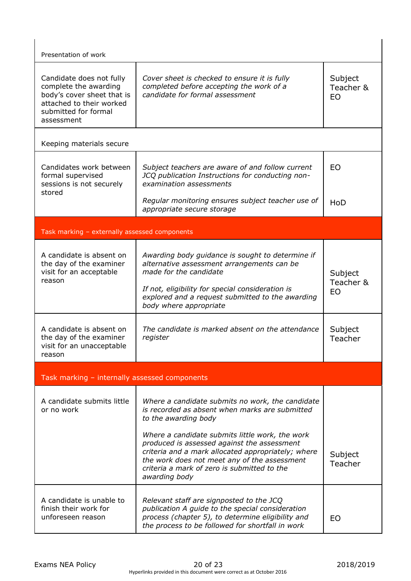| Presentation of work                                                                                                                              |                                                                                                                                                                                                                                                                                                                                                                                   |                                   |
|---------------------------------------------------------------------------------------------------------------------------------------------------|-----------------------------------------------------------------------------------------------------------------------------------------------------------------------------------------------------------------------------------------------------------------------------------------------------------------------------------------------------------------------------------|-----------------------------------|
| Candidate does not fully<br>complete the awarding<br>body's cover sheet that is<br>attached to their worked<br>submitted for formal<br>assessment | Cover sheet is checked to ensure it is fully<br>completed before accepting the work of a<br>candidate for formal assessment                                                                                                                                                                                                                                                       | Subject<br>Teacher &<br><b>EO</b> |
| Keeping materials secure                                                                                                                          |                                                                                                                                                                                                                                                                                                                                                                                   |                                   |
| Candidates work between<br>formal supervised<br>sessions is not securely                                                                          | Subject teachers are aware of and follow current<br>JCQ publication Instructions for conducting non-<br>examination assessments                                                                                                                                                                                                                                                   | <b>EO</b>                         |
| stored                                                                                                                                            | Regular monitoring ensures subject teacher use of<br>appropriate secure storage                                                                                                                                                                                                                                                                                                   | HoD                               |
| Task marking - externally assessed components                                                                                                     |                                                                                                                                                                                                                                                                                                                                                                                   |                                   |
| A candidate is absent on<br>the day of the examiner<br>visit for an acceptable<br>reason                                                          | Awarding body guidance is sought to determine if<br>alternative assessment arrangements can be<br>made for the candidate<br>If not, eligibility for special consideration is<br>explored and a request submitted to the awarding<br>body where appropriate                                                                                                                        | Subject<br>Teacher &<br>EO        |
| A candidate is absent on<br>the day of the examiner<br>visit for an unacceptable<br>reason                                                        | The candidate is marked absent on the attendance<br>register                                                                                                                                                                                                                                                                                                                      | Subject<br>Teacher                |
| Task marking - internally assessed components                                                                                                     |                                                                                                                                                                                                                                                                                                                                                                                   |                                   |
| A candidate submits little<br>or no work                                                                                                          | Where a candidate submits no work, the candidate<br>is recorded as absent when marks are submitted<br>to the awarding body<br>Where a candidate submits little work, the work<br>produced is assessed against the assessment<br>criteria and a mark allocated appropriately; where<br>the work does not meet any of the assessment<br>criteria a mark of zero is submitted to the | Subject<br>Teacher                |
| A candidate is unable to<br>finish their work for<br>unforeseen reason                                                                            | awarding body<br>Relevant staff are signposted to the JCQ<br>publication A guide to the special consideration<br>process (chapter 5), to determine eligibility and                                                                                                                                                                                                                | EO                                |
|                                                                                                                                                   | the process to be followed for shortfall in work                                                                                                                                                                                                                                                                                                                                  |                                   |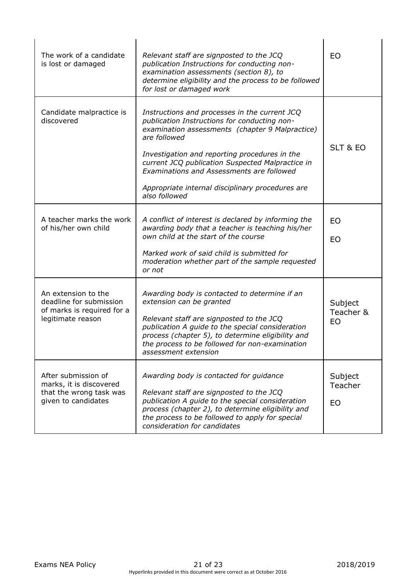| The work of a candidate<br>is lost or damaged                                                     | Relevant staff are signposted to the JCQ<br>publication Instructions for conducting non-<br>examination assessments (section 8), to<br>determine eligibility and the process to be followed<br>for lost or damaged work                                                                                                                                                                 | EO                              |
|---------------------------------------------------------------------------------------------------|-----------------------------------------------------------------------------------------------------------------------------------------------------------------------------------------------------------------------------------------------------------------------------------------------------------------------------------------------------------------------------------------|---------------------------------|
| Candidate malpractice is<br>discovered                                                            | Instructions and processes in the current JCQ<br>publication Instructions for conducting non-<br>examination assessments (chapter 9 Malpractice)<br>are followed<br>Investigation and reporting procedures in the<br>current JCQ publication Suspected Malpractice in<br>Examinations and Assessments are followed<br>Appropriate internal disciplinary procedures are<br>also followed | SLT & EO                        |
| A teacher marks the work<br>of his/her own child                                                  | A conflict of interest is declared by informing the<br>awarding body that a teacher is teaching his/her<br>own child at the start of the course<br>Marked work of said child is submitted for<br>moderation whether part of the sample requested<br>or not                                                                                                                              | <b>EO</b><br><b>EO</b>          |
| An extension to the<br>deadline for submission<br>of marks is required for a<br>legitimate reason | Awarding body is contacted to determine if an<br>extension can be granted<br>Relevant staff are signposted to the JCQ<br>publication A guide to the special consideration<br>process (chapter 5), to determine eligibility and<br>the process to be followed for non-examination<br>assessment extension                                                                                | Subject<br>Teacher &<br>EO      |
| After submission of<br>marks, it is discovered<br>that the wrong task was<br>given to candidates  | Awarding body is contacted for guidance<br>Relevant staff are signposted to the JCQ<br>publication A guide to the special consideration<br>process (chapter 2), to determine eligibility and<br>the process to be followed to apply for special<br>consideration for candidates                                                                                                         | Subject<br>Teacher<br><b>EO</b> |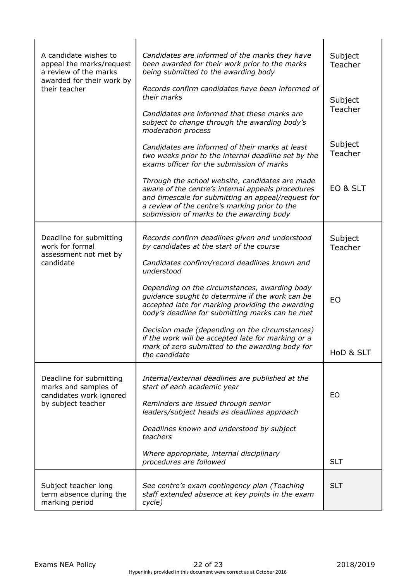| A candidate wishes to<br>appeal the marks/request<br>a review of the marks<br>awarded for their work by<br>their teacher | Candidates are informed of the marks they have<br>been awarded for their work prior to the marks<br>being submitted to the awarding body                                                                                                                | Subject<br>Teacher |  |
|--------------------------------------------------------------------------------------------------------------------------|---------------------------------------------------------------------------------------------------------------------------------------------------------------------------------------------------------------------------------------------------------|--------------------|--|
|                                                                                                                          | Records confirm candidates have been informed of<br>their marks                                                                                                                                                                                         | Subject<br>Teacher |  |
|                                                                                                                          | Candidates are informed that these marks are<br>subject to change through the awarding body's<br>moderation process                                                                                                                                     |                    |  |
|                                                                                                                          | Candidates are informed of their marks at least<br>two weeks prior to the internal deadline set by the<br>exams officer for the submission of marks                                                                                                     | Subject<br>Teacher |  |
|                                                                                                                          | Through the school website, candidates are made<br>aware of the centre's internal appeals procedures<br>and timescale for submitting an appeal/request for<br>a review of the centre's marking prior to the<br>submission of marks to the awarding body | EO & SLT           |  |
| Deadline for submitting<br>work for formal<br>assessment not met by<br>candidate                                         | Records confirm deadlines given and understood<br>by candidates at the start of the course                                                                                                                                                              | Subject<br>Teacher |  |
|                                                                                                                          | Candidates confirm/record deadlines known and<br>understood                                                                                                                                                                                             |                    |  |
|                                                                                                                          | Depending on the circumstances, awarding body<br>guidance sought to determine if the work can be<br>accepted late for marking providing the awarding<br>body's deadline for submitting marks can be met                                                 | EO                 |  |
|                                                                                                                          | Decision made (depending on the circumstances)<br>if the work will be accepted late for marking or a<br>mark of zero submitted to the awarding body for<br>the candidate                                                                                | HoD & SLT          |  |
| Deadline for submitting<br>marks and samples of<br>candidates work ignored<br>by subject teacher                         | Internal/external deadlines are published at the<br>start of each academic year                                                                                                                                                                         |                    |  |
|                                                                                                                          | Reminders are issued through senior<br>leaders/subject heads as deadlines approach                                                                                                                                                                      | EO                 |  |
|                                                                                                                          | Deadlines known and understood by subject<br>teachers                                                                                                                                                                                                   |                    |  |
|                                                                                                                          | Where appropriate, internal disciplinary<br>procedures are followed                                                                                                                                                                                     | <b>SLT</b>         |  |
| Subject teacher long<br>term absence during the<br>marking period                                                        | See centre's exam contingency plan (Teaching<br>staff extended absence at key points in the exam<br>cycle)                                                                                                                                              | <b>SLT</b>         |  |